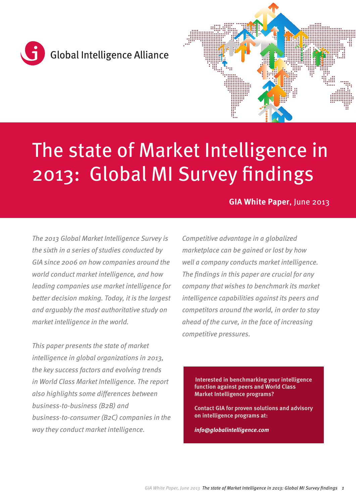



# The state of Market Intelligence in 2013: Global MI Survey findings

# **GIA White Paper**, June 2013

*The 2013 Global Market Intelligence Survey is the sixth in a series of studies conducted by GIA since 2006 on how companies around the world conduct market intelligence, and how leading companies use market intelligence for better decision making. Today, it is the largest and arguably the most authoritative study on market intelligence in the world.*

*This paper presents the state of market intelligence in global organizations in 2013, the key success factors and evolving trends in World Class Market Intelligence. The report also highlights some differences between business-to-business (B2B) and business-to-consumer (B2C) companies in the way they conduct market intelligence.*

*Competitive advantage in a globalized marketplace can be gained or lost by how well a company conducts market intelligence. The findings in this paper are crucial for any company that wishes to benchmark its market intelligence capabilities against its peers and competitors around the world, in order to stay ahead of the curve, in the face of increasing competitive pressures.*

**Interested in benchmarking your intelligence function against peers and World Class Market Intelligence programs?**

**Contact GIA for proven solutions and advisory on intelligence programs at:**

*info@globalintelligence.com*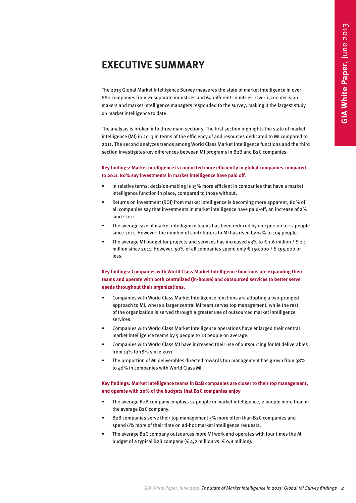# **EXECUTIVE SUMMARY**

The 2013 Global Market Intelligence Survey measures the state of market intelligence in over 880 companies from 21 separate industries and 64 different countries. Over 1,200 decision makers and market intelligence managers responded to the survey, making it the largest study on market intelligence to date.

<span id="page-1-0"></span>The analysis is broken into three main sections. The first section highlights the state of market intelligence (MI) in 2013 in terms of the efficiency of and resources dedicated to MI compared to 2011. The second analyzes trends among World Class Market Intelligence functions and the third section investigates key differences between MI programs in B2B and B2C companies. **ICE SUMMARY**<br> **GIA WHITERENT CONTINUES INTO THE STATE OF THE STATE OF THE STATE OF THE STATE OF THE STATE OF THE STATE OF THE STATE OF THE STATE OF THE STATE OF THE STATE OF THE STATE OF THE STATE OF THE STATE OF THE STAT** 

#### **Key findings: Market intelligence is conducted more efficiently in global companies compared to 2011. 80% say investments in market intelligence have paid off.**

- In relative terms, decision-making is 15% more efficient in companies that have a market intelligence function in place, compared to those without.
- Returns on investment (ROI) from market intelligence is becoming more apparent; 80% of all companies say that investments in market intelligence have paid-off, an increase of 2% since 2011.
- The average size of market intelligence teams has been reduced by one person to 12 people since 2011. However, the number of contributors to MI has risen by 15% to 109 people.
- The average MI budget for projects and services has increased 53% to  $\epsilon$  1.6 million / \$ 2.1 million since 2011. However, 50% of all companies spend only € 150,000 / \$ 195,000 or less.

#### **Key findings: Companies with World Class Market Intelligence functions are expanding their teams and operate with both centralized (in-house) and outsourced services to better serve needs throughout their organizations.**

- Companies with World Class Market Intelligence functions are adopting a two-pronged approach to MI, where a larger central MI team serves top management, while the rest of the organization is served through a greater use of outsourced market intelligence services.
- Companies with World Class Market Intelligence operations have enlarged their central market intelligence teams by 5 people to 18 people on average.
- Companies with World Class MI have increased their use of outsourcing for MI deliverables from 13% to 18% since 2011.
- The proportion of MI deliverables directed towards top management has grown from 38% to 46% in companies with World Class MI.

#### **Key findings: Market intelligence teams in B2B companies are closer to their top management, and operate with 20% of the budgets that B2C companies enjoy**

- The average B2B company employs 12 people in market intelligence, 2 people more than in the average B2C company.
- B2B companies serve their top management 5% more often than B2C companies and spend 6% more of their time on ad-hoc market intelligence requests.
- The average B2C company outsources more MI work and operates with four times the MI budget of a typical B2B company ( $\epsilon$  4,2 million vs.  $\epsilon$  0.8 million).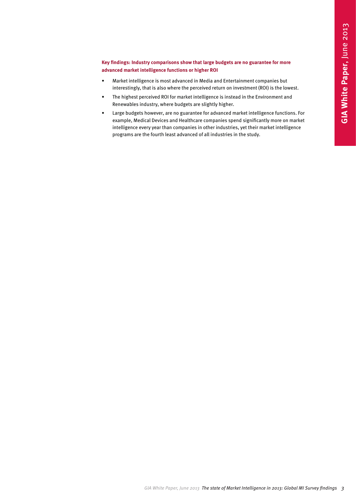#### **Key findings: Industry comparisons show that large budgets are no guarantee for more advanced market intelligence functions or higher ROI**

- Market intelligence is most advanced in Media and Entertainment companies but interestingly, that is also where the perceived return on investment (ROI) is the lowest.
- The highest perceived ROI for market intelligence is instead in the Environment and Renewables industry, where budgets are slightly higher.
- Large budgets however, are no guarantee for advanced market intelligence functions. For example, Medical Devices and Healthcare companies spend significantly more on market intelligence every year than companies in other industries, yet their market intelligence programs are the fourth least advanced of all industries in the study. *GIA White Paper, June 2013* The state of Market *ROI*<br>
Italiance the mode of Market Intelligence in the state of Market Intelligence intervent intelligence intervent intelligence in the state of Market intelligence in the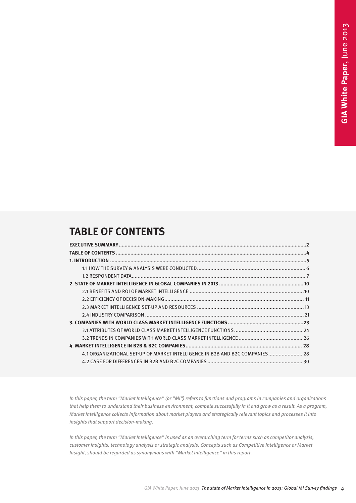# **TABLE OF CONTENTS**

| 4.1 ORGANIZATIONAL SET-UP OF MARKET INTELLIGENCE IN B2B AND B2C COMPANIES 28 |  |
|------------------------------------------------------------------------------|--|
|                                                                              |  |
|                                                                              |  |
|                                                                              |  |
|                                                                              |  |
|                                                                              |  |
|                                                                              |  |
|                                                                              |  |
|                                                                              |  |
|                                                                              |  |
|                                                                              |  |
|                                                                              |  |
|                                                                              |  |
|                                                                              |  |
|                                                                              |  |
|                                                                              |  |

*In this paper, the term "Market Intelligence" (or "MI") refers to functions and programs in companies and organizations that help them to understand their business environment, compete successfully in it and grow as a result. As a program, Market Intelligence collects information about market players and strategically relevant topics and processes it into insights that support decision-making.* 

*In this paper, the term "Market Intelligence" is used as an overarching term for terms such as competitor analysis, customer insights, technology analysis or strategic analysis. Concepts such as Competitive Intelligence or Market Insight, should be regarded as synonymous with "Market Intelligence" in this report.*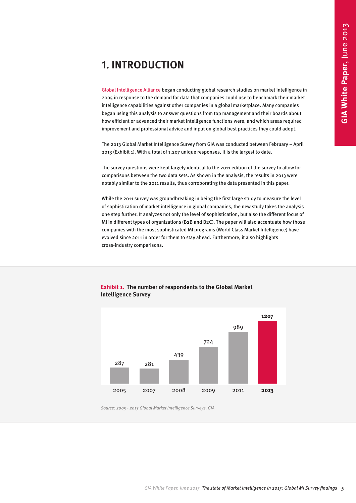# **1. INTRODUCTION**

[Global Intelligence Alliance b](http://www.globalintelligence.com/)egan conducting global research studies on market intelligence in 2005 in response to the demand for data that companies could use to benchmark their market intelligence capabilities against other companies in a global marketplace. Many companies began using this analysis to answer questions from top management and their boards about how efficient or advanced their market intelligence functions were, and which areas required improvement and professional advice and input on global best practices they could adopt.

The 2013 Global Market Intelligence Survey from GIA was conducted between February – April 2013 (Exhibit 1). With a total of 1,207 unique responses, it is the largest to date.

The survey questions were kept largely identical to the 2011 edition of the survey to allow for comparisons between the two data sets. As shown in the analysis, the results in 2013 were notably similar to the 2011 results, thus corroborating the data presented in this paper.

While the 2011 survey was groundbreaking in being the first large study to measure the level of sophistication of market intelligence in global companies, the new study takes the analysis one step further. It analyzes not only the level of sophistication, but also the different focus of MI in different types of organizations (B2B and B2C). The paper will also accentuate how those companies with the most sophisticated MI programs (World Class Market Intelligence) have evolved since 2011 in order for them to stay ahead. Furthermore, it also highlights cross-industry comparisons.

<span id="page-4-0"></span>

#### **Exhibit 1. The number of respondents to the Global Market Intelligence Survey**

*Source: 2005 - 2013 Global Market Intelligence Surveys, GIA*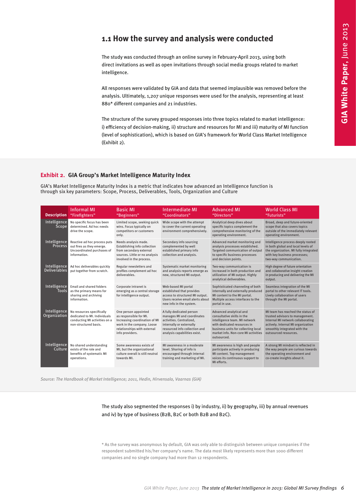### **1.1 How the survey and analysis were conducted**

#### **Exhibit 2. GIA Group's Market Intelligence Maturity Index**

<span id="page-5-0"></span>

|                                     |                                                                                                                     | intelligence.<br>880* different companies and 21 industries.<br>(Exhibit 2).                                                                                                                 |                                                                                                                                                                                 | The study was conducted through an online survey in February-April 2013, using both<br>direct invitations as well as open invitations through social media groups related to market<br>All responses were validated by GIA and data that seemed implausible was removed before the<br>analysis. Ultimately, 1,207 unique responses were used for the analysis, representing at least<br>The structure of the survey grouped responses into three topics related to market intelligence:<br>i) efficiency of decision-making, ii) structure and resources for MI and iii) maturity of MI function<br>(level of sophistication), which is based on GIA's framework for World Class Market Intelligence |                                                                                                                                                                                                          |
|-------------------------------------|---------------------------------------------------------------------------------------------------------------------|----------------------------------------------------------------------------------------------------------------------------------------------------------------------------------------------|---------------------------------------------------------------------------------------------------------------------------------------------------------------------------------|------------------------------------------------------------------------------------------------------------------------------------------------------------------------------------------------------------------------------------------------------------------------------------------------------------------------------------------------------------------------------------------------------------------------------------------------------------------------------------------------------------------------------------------------------------------------------------------------------------------------------------------------------------------------------------------------------|----------------------------------------------------------------------------------------------------------------------------------------------------------------------------------------------------------|
|                                     |                                                                                                                     | Exhibit 2. GIA Group's Market Intelligence Maturity Index                                                                                                                                    | through six key parameters: Scope, Process, Deliverables, Tools, Organization and Culture                                                                                       | GIA's Market Intelligence Maturity Index is a metric that indicates how advanced an Intelligence function is                                                                                                                                                                                                                                                                                                                                                                                                                                                                                                                                                                                         |                                                                                                                                                                                                          |
| <b>Description</b>                  | <b>Informal MI</b><br>"Firefighters"                                                                                | <b>Basic MI</b><br>"Beginners"                                                                                                                                                               | <b>Intermediate MI</b><br>"Coordinators"                                                                                                                                        | <b>Advanced MI</b><br>"Directors"                                                                                                                                                                                                                                                                                                                                                                                                                                                                                                                                                                                                                                                                    | <b>World Class MI</b><br>"Futurists"                                                                                                                                                                     |
| Intelligence<br>Scope               | No specific focus has been<br>determined. Ad hoc needs<br>drive the scope.                                          | Limited scope, seeking quick<br>wins. Focus typically on<br>competitors or customers<br>only.                                                                                                | Wide scope with the attempt<br>to cover the current operating<br>environment comprehensively.                                                                                   | Analytical deep dives about<br>specific topics complement the<br>comprehensive monitoring of the<br>operating environment.                                                                                                                                                                                                                                                                                                                                                                                                                                                                                                                                                                           | Broad, deep and future-oriented<br>scope that also covers topics<br>outside of the immediately relevant<br>operating environment.                                                                        |
| Intelligence<br>Process             | Reactive ad hoc process puts<br>out fires as they emerge.<br>Uncoordinated purchases of<br>information.             | Needs analysis made.<br>Establishing info collection<br>from secondary external<br>sources. Little or no analysis<br>involved in the process.                                                | Secondary info sourcing<br>complemented by well<br>established primary info<br>collection and analysis.                                                                         | Advanced market monitoring and<br>analysis processes established.<br>Targeted communication of output<br>to specific business processes<br>and decision points.                                                                                                                                                                                                                                                                                                                                                                                                                                                                                                                                      | Intelligence process deeply rooted<br>in both global and local levels of<br>the organization. MI fully integrated<br>with key business processes;<br>two-way communication.                              |
| Intelligence<br><b>Deliverables</b> | Ad hoc deliverables quickly<br>put together from scratch.                                                           | Regular newsletters and<br>profiles complement ad hoc<br>deliverables.                                                                                                                       | Systematic market monitoring<br>and analysis reports emerge as<br>new, structured MI output.                                                                                    | Two-way communication is<br>increased in both production and<br>utilization of MI output. Highly<br>analytical deliverables.                                                                                                                                                                                                                                                                                                                                                                                                                                                                                                                                                                         | High degree of future orientation<br>and collaborative insight creation<br>in producing and delivering the MI<br>output.                                                                                 |
| <u>Tools</u>                        | Intelligence Email and shared folders<br>as the primary means for<br>sharing and archiving<br>information.          | Corporate intranet is<br>emerging as a central storage established that provides<br>for intelligence output.                                                                                 | Web-based MI portal<br>access to structured MI output.<br>Users receive email alerts about<br>new info in the system.                                                           | Sophisticated channeling of both<br>internally and externally produced<br>MI content to the MI portal.<br>Multiple access interfaces to the<br>portal in use.                                                                                                                                                                                                                                                                                                                                                                                                                                                                                                                                        | Seamless integration of the MI<br>portal to other relevant IT tools.<br>Lively collaboration of users<br>through the MI portal.                                                                          |
| Intelligence<br>Organization        | No resources specifically<br>dedicated to MI. Individuals<br>conducting MI activities on a<br>non-structured basis. | One person appointed<br>as responsible for MI.<br>Increasing coordination of MI<br>work in the company. Loose<br>relationships with external<br>info providers.                              | A fully dedicated person<br>manages MI and coordinates<br>activities. Centralized,<br>internally or externally<br>resourced info collection and<br>analysis capabilities exist. | Advanced analytical and<br>consultative skills in the<br>intelligence team. MI network<br>with dedicated resources in<br>business units for collecting local<br>market info. Non-core MI activities<br>outsourced.                                                                                                                                                                                                                                                                                                                                                                                                                                                                                   | MI team has reached the status of<br>trusted advisors to management.<br>Internal MI network collaborating<br>actively. Internal MI organization<br>smoothly integrated with the<br>outsourced resources. |
| Intelligence<br>Culture             | No shared understanding<br>exists of the role and<br>benefits of systematic MI<br>operations.                       | Some awareness exists of<br>MI, but the organizational<br>culture overall is still neutral<br>towards MI.                                                                                    | MI awareness in a moderate<br>level. Sharing of info is<br>encouraged through internal<br>training and marketing of MI.                                                         | MI awareness is high and people<br>participate actively in producing<br>MI content. Top management<br>voices its continuous support to<br>MI efforts.                                                                                                                                                                                                                                                                                                                                                                                                                                                                                                                                                | A strong MI mindset is reflected in<br>the way people are curious towards<br>the operating environment and<br>co-create insights about it.                                                               |
|                                     |                                                                                                                     | Source: The Handbook of Market Intelligence; 2011, Hedin, Hirvensalo, Vaarnas (GIA)<br>respondent submitted his/her company's name. The data most likely represents more than 1000 different | and iv) by type of business (B2B, B2C or both B2B and B2C).                                                                                                                     | The study also segmented the responses i) by industry, ii) by geography, iii) by annual revenues<br>* As the survey was anonymous by default, GIA was only able to distinguish between unique companies if the                                                                                                                                                                                                                                                                                                                                                                                                                                                                                       |                                                                                                                                                                                                          |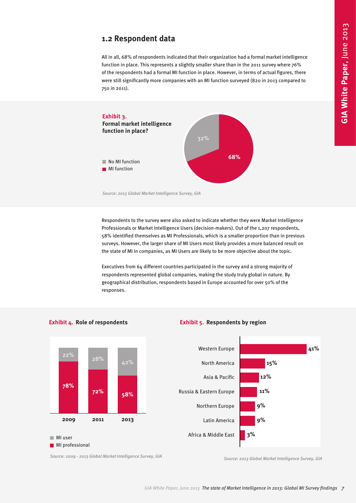### **1.2 Respondent data**

All in all, 68% of respondents indicated that their organization had a formal market intelligence function in place. This represents a slightly smaller share than in the 2011 survey where 76% of the respondents had a formal MI function in place. However, in terms of actual figures, there were still significantly more companies with an MI function surveyed (820 in 2013 compared to 750 in 2011).



*Source: 2013 Global Market Intelligence Survey, GIA* 

Respondents to the survey were also asked to indicate whether they were Market Intelligence Professionals or Market Intelligence Users (decision-makers). Out of the 1,207 respondents, 58% identified themselves as MI Professionals, which is a smaller proportion than in previous surveys. However, the larger share of MI Users most likely provides a more balanced result on the state of MI in companies, as MI Users are likely to be more objective about the topic.

Executives from 64 different countries participated in the survey and a strong majority of respondents represented global companies, making the study truly global in nature. By geographical distribution, respondents based in Europe accounted for over 50% of the responses.

**Exhibit 5. Respondents by region**

<span id="page-6-0"></span>

**Exhibit 4. Role of respondents**

*Source: 2009 - 2013 Global Market Intelligence Survey, GIA Source: 2013 Global Market Intelligence Survey, GIA*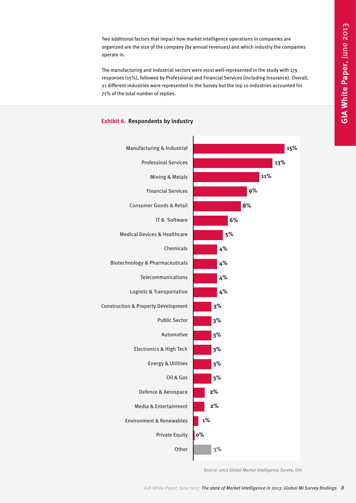Two additional factors that impact how market intelligence operations in companies are organized are the size of the company (by annual revenues) and which industry the companies operate in.

The manufacturing and industrial sectors were most well-represented in the study with 179 responses (15%), followed by Professional and Financial Services (including Insurance). Overall, 21 different industries were represented in the Survey but the top 10 industries accounted for 71% of the total number of replies.



#### **Exhibit 6. Respondents by industry**

*Source: 2013 Global Market Intelligence Survey, GIA*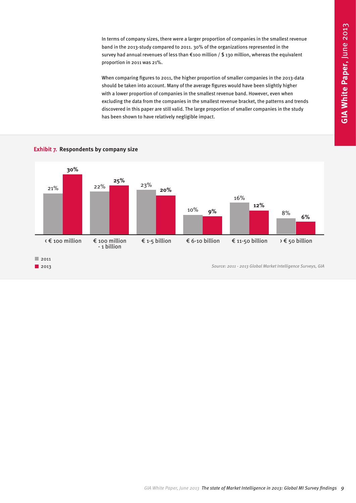In terms of company sizes, there were a larger proportion of companies in the smallest revenue band in the 2013-study compared to 2011. 30% of the organizations represented in the survey had annual revenues of less than €100 million / \$ 130 million, whereas the equivalent proportion in 2011 was 21%.

When comparing figures to 2011, the higher proportion of smaller companies in the 2013-data should be taken into account. Many of the average figures would have been slightly higher with a lower proportion of companies in the smallest revenue band. However, even when excluding the data from the companies in the smallest revenue bracket, the patterns and trends discovered in this paper are still valid. The large proportion of smaller companies in the study has been shown to have relatively negligible impact.



#### **Exhibit 7. Respondents by company size**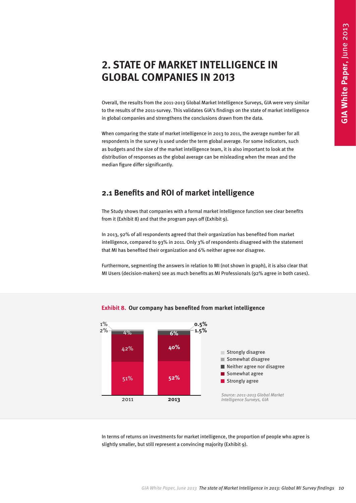# **2. STATE OF MARKET INTELLIGENCE IN GLOBAL COMPANIES IN 2013**

Overall, the results from the 2011-2013 Global Market Intelligence Surveys, GIA were very similar to the results of the 2011-survey. This validates GIA's findings on the state of market intelligence in global companies and strengthens the conclusions drawn from the data.

When comparing the state of market intelligence in 2013 to 2011, the average number for all respondents in the survey is used under the term global average. For some indicators, such as budgets and the size of the market intelligence team, it is also important to look at the distribution of responses as the global average can be misleading when the mean and the median figure differ significantly.

# **2.1 Benefits and ROI of market intelligence**

The Study shows that companies with a formal market intelligence function see clear benefits from it (Exhibit 8) and that the program pays off (Exhibit 9).

In 2013, 92% of all respondents agreed that their organization has benefited from market intelligence, compared to 93% in 2011. Only 3% of respondents disagreed with the statement that MI has benefited their organization and 6% neither agree nor disagree.

Furthermore, segmenting the answers in relation to MI (not shown in graph), it is also clear that MI Users (decision-makers) see as much benefits as MI Professionals (92% agree in both cases).

<span id="page-9-0"></span>

#### **Exhibit 8. Our company has benefited from market intelligence**

In terms of returns on investments for market intelligence, the proportion of people who agree is slightly smaller, but still represent a convincing majority (Exhibit 9).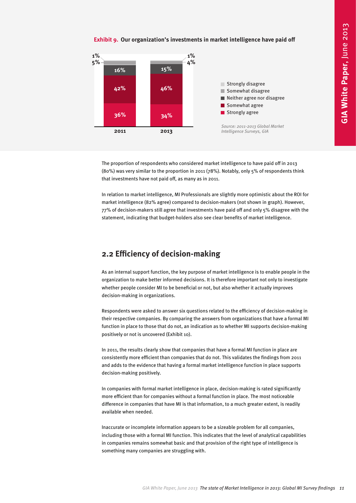#### **Exhibit 9. Our organization's investments in market intelligence have paid off**

<span id="page-10-0"></span>

The proportion of respondents who considered market intelligence to have paid off in 2013 (80%) was very similar to the proportion in 2011 (78%). Notably, only 5% of respondents think that investments have not paid off, as many as in 2011.

In relation to market intelligence, MI Professionals are slightly more optimistic about the ROI for market intelligence (82% agree) compared to decision-makers (not shown in graph). However, 77% of decision-makers still agree that investments have paid off and only 5% disagree with the statement, indicating that budget-holders also see clear benefits of market intelligence.

# **2.2 Efficiency of decision-making**

As an internal support function, the key purpose of market intelligence is to enable people in the organization to make better informed decisions. It is therefore important not only to investigate whether people consider MI to be beneficial or not, but also whether it actually improves decision-making in organizations.

Respondents were asked to answer six questions related to the efficiency of decision-making in their respective companies. By comparing the answers from organizations that have a formal MI function in place to those that do not, an indication as to whether MI supports decision-making positively or not is uncovered (Exhibit 10).

In 2011, the results clearly show that companies that have a formal MI function in place are consistently more efficient than companies that do not. This validates the findings from 2011 and adds to the evidence that having a formal market intelligence function in place supports decision-making positively.

In companies with formal market intelligence in place, decision-making is rated significantly more efficient than for companies without a formal function in place. The most noticeable difference in companies that have MI is that information, to a much greater extent, is readily available when needed.

Inaccurate or incomplete information appears to be a sizeable problem for all companies, including those with a formal MI function. This indicates that the level of analytical capabilities in companies remains somewhat basic and that provision of the right type of intelligence is something many companies are struggling with.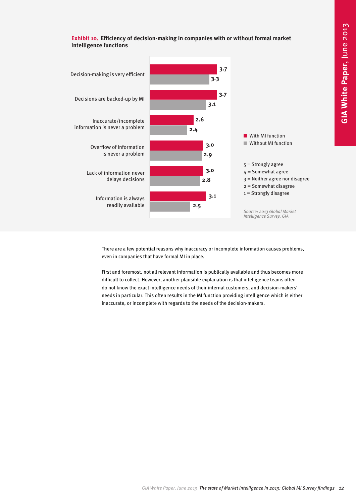

**Exhibit 10. Efficiency of decision-making in companies with or without formal market intelligence functions**

> There are a few potential reasons why inaccuracy or incomplete information causes problems, even in companies that have formal MI in place.

> First and foremost, not all relevant information is publically available and thus becomes more difficult to collect. However, another plausible explanation is that intelligence teams often do not know the exact intelligence needs of their internal customers, and decision-makers' needs in particular. This often results in the MI function providing intelligence which is either inaccurate, or incomplete with regards to the needs of the decision-makers.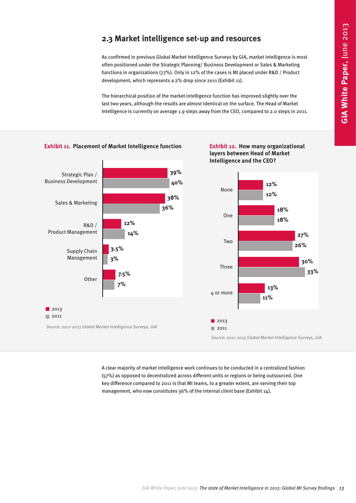# **2.3 Market intelligence set-up and resources**

As confirmed in previous Global Market Intelligence Surveys by GIA, market intelligence is most often positioned under the Strategic Planning/ Business Development or Sales & Marketing functions in organizations (77%). Only in 12% of the cases is MI placed under R&D / Product development, which represents a 2% drop since 2011 (Exhibit 11).

The hierarchical position of the market intelligence function has improved slightly over the last two years, although the results are almost identical on the surface. The Head of Market Intelligence is currently on average 1.9 steps away from the CEO, compared to 2.0 steps in 2011.

<span id="page-12-0"></span>

A clear majority of market intelligence work continues to be conducted in a centralized fashion (57%) as opposed to decentralized across different units or regions or being outsourced. One key difference compared to 2011 is that MI teams, to a greater extent, are serving their top management, who now constitutes 36% of the internal client base (Exhibit 14).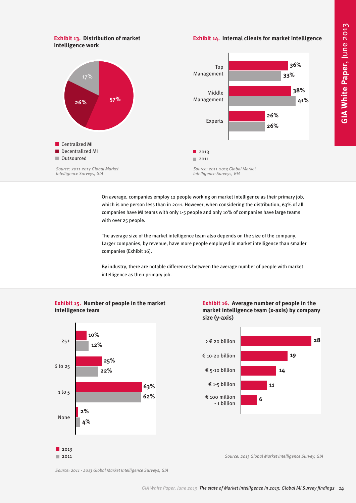#### **Exhibit 13. Distribution of market intelligence work**

**Exhibit 14. Internal clients for market intelligence**



On average, companies employ 12 people working on market intelligence as their primary job, which is one person less than in 2011. However, when considering the distribution, 63% of all companies have MI teams with only 1-5 people and only 10% of companies have large teams with over 25 people.

The average size of the market intelligence team also depends on the size of the company. Larger companies, by revenue, have more people employed in market intelligence than smaller companies (Exhibit 16).

By industry, there are notable differences between the average number of people with market intelligence as their primary job.

#### **Exhibit 15. Number of people in the market intelligence team**



**Exhibit 16. Average number of people in the market intelligence team (x-axis) by company size (y-axis)**



*Source: 2013 Global Market Intelligence Survey, GIA* 

*Source: 2011 - 2013 Global Market Intelligence Surveys, GIA*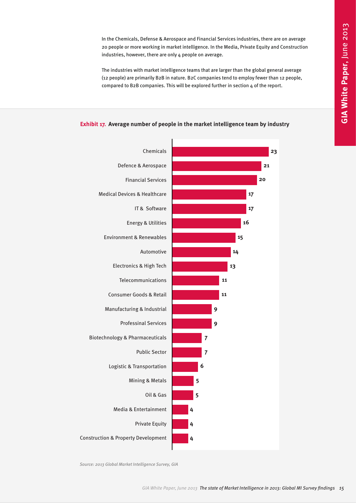In the Chemicals, Defense & Aerospace and Financial Services industries, there are on average 20 people or more working in market intelligence. In the Media, Private Equity and Construction industries, however, there are only 4 people on average.

The industries with market intelligence teams that are larger than the global general average (12 people) are primarily B2B in nature. B2C companies tend to employ fewer than 12 people, compared to B2B companies. This will be explored further in section 4 of the report.





*Source: 2013 Global Market Intelligence Survey, GIA*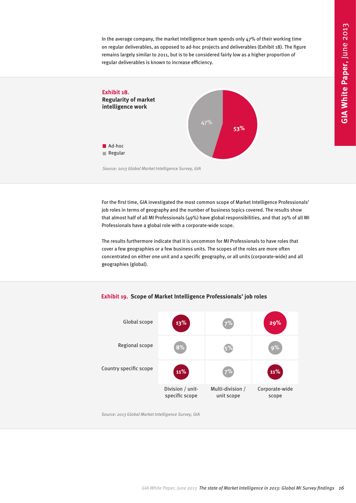In the average company, the market intelligence team spends only 47% of their working time on regular deliverables, as opposed to ad-hoc projects and deliverables (Exhibit 18). The figure remains largely similar to 2011, but is to be considered fairly low as a higher proportion of regular deliverables is known to increase efficiency.



*Source: 2013 Global Market Intelligence Survey, GIA* 

For the first time, GIA investigated the most common scope of Market Intelligence Professionals' job roles in terms of geography and the number of business topics covered. The results show that almost half of all MI Professionals (49%) have global responsibilities, and that 29% of all MI Professionals have a global role with a corporate-wide scope.

The results furthermore indicate that it is uncommon for MI Professionals to have roles that cover a few geographies or a few business units. The scopes of the roles are more often concentrated on either one unit and a specific geography, or all units (corporate-wide) and all geographies (global).





*Source: 2013 Global Market Intelligence Survey, GIA*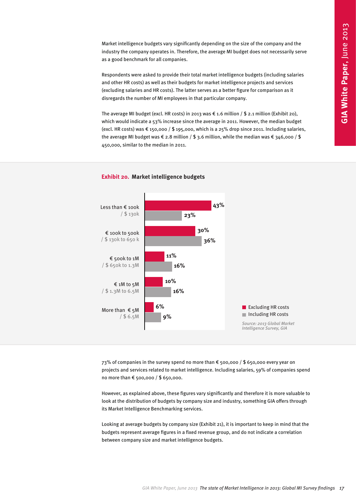Market intelligence budgets vary significantly depending on the size of the company and the industry the company operates in. Therefore, the average MI budget does not necessarily serve as a good benchmark for all companies.

Respondents were asked to provide their total market intelligence budgets (including salaries and other HR costs) as well as their budgets for market intelligence projects and services (excluding salaries and HR costs). The latter serves as a better figure for comparison as it disregards the number of MI employees in that particular company.

The average MI budget (excl. HR costs) in 2013 was € 1.6 million / \$ 2.1 million (Exhibit 20), which would indicate a 53% increase since the average in 2011. However, the median budget (excl. HR costs) was € 150,000 / \$ 195,000, which is a 25% drop since 2011. Including salaries, the average MI budget was € 2.8 million / \$ 3.6 million, while the median was € 346,000 / \$ 450,000, similar to the median in 2011.



#### **Exhibit 20. Market intelligence budgets**

73% of companies in the survey spend no more than € 500,000 / \$ 650,000 every year on projects and services related to market intelligence. Including salaries, 59% of companies spend no more than € 500,000 / \$ 650,000.

However, as explained above, these figures vary significantly and therefore it is more valuable to look at the distribution of budgets by company size and industry, something GIA offers through its Market Intelligence Benchmarking services.

Looking at average budgets by company size (Exhibit 21), it is important to keep in mind that the budgets represent average figures in a fixed revenue group, and do not indicate a correlation between company size and market intelligence budgets.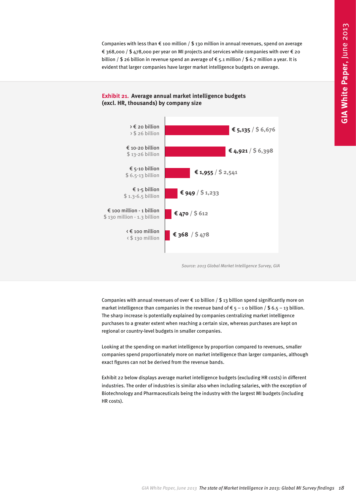Companies with less than  $\epsilon$  100 million / \$ 130 million in annual revenues, spend on average € 368,000 / \$ 478,000 per year on MI projects and services while companies with over € 20 billion / \$ 26 billion in revenue spend an average of  $\epsilon$  5.1 million / \$ 6.7 million a year. It is evident that larger companies have larger market intelligence budgets on average.



#### **Exhibit 21. Average annual market intelligence budgets (excl. HR, thousands) by company size**

*Source: 2013 Global Market Intelligence Survey, GIA* 

Companies with annual revenues of over  $\epsilon$  10 billion / \$ 13 billion spend significantly more on market intelligence than companies in the revenue band of  $\epsilon$  5 – 1 0 billion / \$ 6.5 – 13 billion. The sharp increase is potentially explained by companies centralizing market intelligence purchases to a greater extent when reaching a certain size, whereas purchases are kept on regional or country-level budgets in smaller companies.

Looking at the spending on market intelligence by proportion compared to revenues, smaller companies spend proportionately more on market intelligence than larger companies, although exact figures can not be derived from the revenue bands.

Exhibit 22 below displays average market intelligence budgets (excluding HR costs) in different industries. The order of industries is similar also when including salaries, with the exception of Biotechnology and Pharmaceuticals being the industry with the largest MI budgets (including HR costs).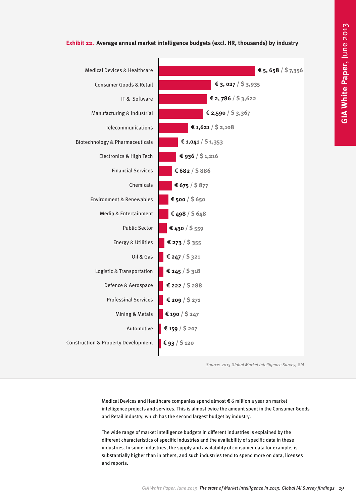

#### **Exhibit 22. Average annual market intelligence budgets (excl. HR, thousands) by industry**

*Source: 2013 Global Market Intelligence Survey, GIA* 

Medical Devices and Healthcare companies spend almost € 6 million a year on market intelligence projects and services. This is almost twice the amount spent in the Consumer Goods and Retail industry, which has the second largest budget by industry.

The wide range of market intelligence budgets in different industries is explained by the different characteristics of specific industries and the availability of specific data in these industries. In some industries, the supply and availability of consumer data for example, is substantially higher than in others, and such industries tend to spend more on data, licenses and reports.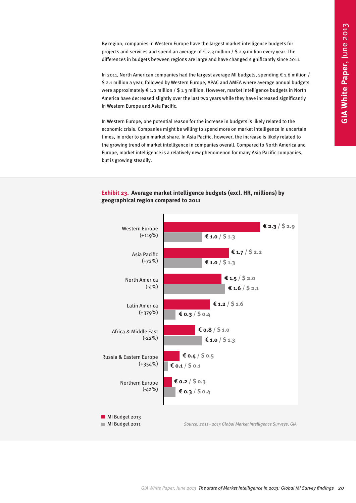By region, companies in Western Europe have the largest market intelligence budgets for projects and services and spend an average of  $\epsilon$  2.3 million / \$ 2.9 million every year. The differences in budgets between regions are large and have changed significantly since 2011.

In 2011, North American companies had the largest average MI budgets, spending € 1.6 million / \$ 2.1 million a year, followed by Western Europe, APAC and AMEA where average annual budgets were approximately  $\epsilon$  1.0 million / \$ 1.3 million. However, market intelligence budgets in North America have decreased slightly over the last two years while they have increased significantly in Western Europe and Asia Pacific.

In Western Europe, one potential reason for the increase in budgets is likely related to the economic crisis. Companies might be willing to spend more on market intelligence in uncertain times, in order to gain market share. In Asia Pacific, however, the increase is likely related to the growing trend of market intelligence in companies overall. Compared to North America and Europe, market intelligence is a relatively new phenomenon for many Asia Pacific companies, but is growing steadily.



#### **Exhibit 23. Average market intelligence budgets (excl. HR, millions) by geographical region compared to 2011**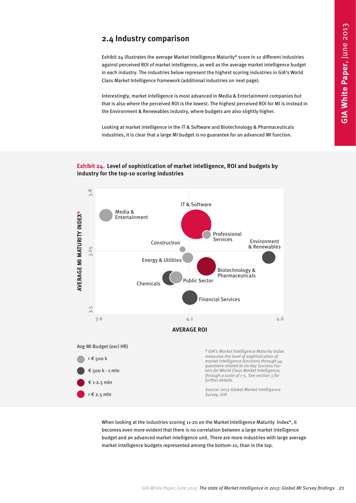# **2.4 Industry comparison**

Exhibit 24 illustrates the average Market Intelligence Maturity\* score in 10 different industries against perceived ROI of market intelligence, as well as the average market intelligence budget in each industry. The industries below represent the highest scoring industries in GIA's World Class Market Intelligence framework (additional industries on next page).

Interestingly, market intelligence is most advanced in Media & Entertainment companies but that is also where the perceived ROI is the lowest. The highest perceived ROI for MI is instead in the Environment & Renewables industry, where budgets are also slightly higher.

Looking at market intelligence in the IT & Software and Biotechnology & Pharmaceuticals industries, it is clear that a large MI budget is no guarantee for an advanced MI function.

#### **Exhibit 24. Level of sophistication of market intelligence, ROI and budgets by industry for the top-10 scoring industries**

<span id="page-20-0"></span>

When looking at the industries scoring 11-20 on the Market Intelligence Maturity Index\*, it becomes even more evident that there is no correlation between a large market intelligence budget and an advanced market intelligence unit. There are more industries with large average market intelligence budgets represented among the bottom-10, than in the top.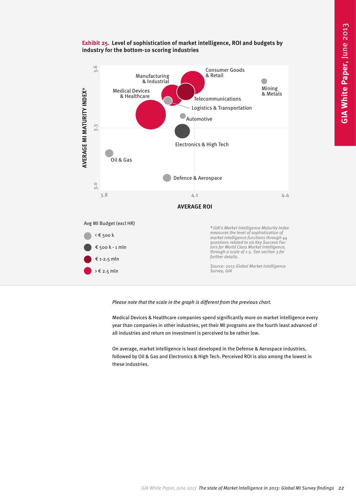

#### **Exhibit 25. Level of sophistication of market intelligence, ROI and budgets by industry for the bottom-10 scoring industries**

*Please note that the scale in the graph is different from the previous chart.*

Medical Devices & Healthcare companies spend significantly more on market intelligence every year than companies in other industries, yet their MI programs are the fourth least advanced of all industries and return on investment is perceived to be rather low.

On average, market intelligence is least developed in the Defense & Aerospace industries, followed by Oil & Gas and Electronics & High Tech. Perceived ROI is also among the lowest in these industries.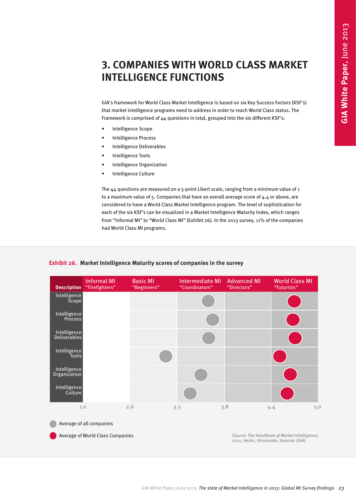# **3. COMPANIES WITH WORLD CLASS MARKET INTELLIGENCE FUNCTIONS**

GIA's framework for World Class Market Intelligence is based on six Key Success Factors (KSF's) that market intelligence programs need to address in order to reach World Class status. The Framework is comprised of 44 questions in total, grouped into the six different KSF's:

- Intelligence Scope
- Intelligence Process
- Intelligence Deliverables
- Intelligence Tools
- Intelligence Organization
- Intelligence Culture

The 44 questions are measured on a 5-point Likert scale, ranging from a minimum value of 1 to a maximum value of 5. Companies that have an overall average score of 4.4 or above, are considered to have a World Class Market Intelligence program. The level of sophistication for each of the six KSF's can be visualized in a Market Intelligence Maturity Index, which ranges from "Informal MI" to "World Class MI" (Exhibit 26). In the 2013 survey, 11% of the companies had World Class MI programs.

#### **Exhibit 26. Market Intelligence Maturity scores of companies in the survey**

<span id="page-22-0"></span>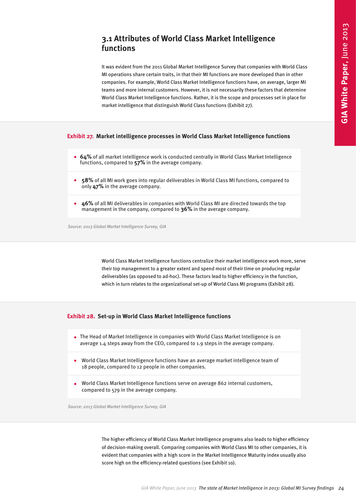### **3.1 Attributes of World Class Market Intelligence functions**

<span id="page-23-0"></span>It was evident from the 2011 Global Market Intelligence Survey that companies with World Class MI operations share certain traits, in that their MI functions are more developed than in other companies. For example, World Class Market Intelligence functions have, on average, larger MI teams and more internal customers. However, it is not necessarily these factors that determine World Class Market Intelligence functions. Rather, it is the scope and processes set in place for market intelligence that distinguish World Class functions (Exhibit 27). **GEAR OF World Class Market Intelligence**<br>
The son Global Market Intelligence Survey that computes with World Class<br>
The state high link in the state of Marketian MI survey find the matter of Marketian and the content<br>
The

#### **Exhibit 27. Market intelligence processes in World Class Market Intelligence functions**

- **64%** of all market intelligence work is conducted centrally in World Class Market Intelligence functions, compared to **57%** in the average company.
- **58%** of all MI work goes into regular deliverables in World Class MI functions, compared to only **47%** in the average company.
- **46%** of all MI deliverables in companies with World Class MI are directed towards the top management in the company, compared to **36%** in the average company.

*Source: 2013 Global Market Intelligence Survey, GIA* 

World Class Market Intelligence functions centralize their market intelligence work more, serve their top management to a greater extent and spend most of their time on producing regular deliverables (as opposed to ad-hoc). These factors lead to higher efficiency in the function, which in turn relates to the organizational set-up of World Class MI programs (Exhibit 28).

#### **Exhibit 28. Set-up in World Class Market Intelligence functions**

- The Head of Market Intelligence in companies with World Class Market Intelligence is on average 1.4 steps away from the CEO, compared to 1.9 steps in the average company.
- World Class Market Intelligence functions have an average market intelligence team of 18 people, compared to 12 people in other companies.
- World Class Market Intelligence functions serve on average 862 internal customers, compared to 579 in the average company.

*Source: 2013 Global Market Intelligence Survey, GIA* 

The higher efficiency of World Class Market Intelligence programs also leads to higher efficiency of decision-making overall. Comparing companies with World Class MI to other companies, it is evident that companies with a high score in the Market Intelligence Maturity index usually also score high on the efficiency-related questions (see Exhibit 1o).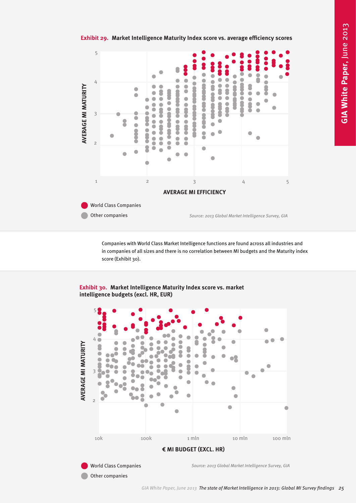



Companies with World Class Market Intelligence functions are found across all industries and in companies of all sizes and there is no correlation between MI budgets and the Maturity index score (Exhibit 30).

**Exhibit 30. Market Intelligence Maturity Index score vs. market intelligence budgets (excl. HR, EUR)**

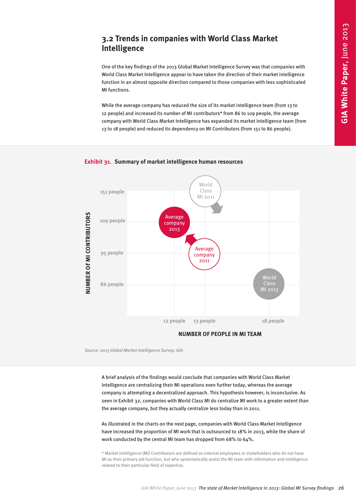# **3.2 Trends in companies with World Class Market Intelligence**

One of the key findings of the 2013 Global Market Intelligence Survey was that companies with World Class Market Intelligence appear to have taken the direction of their market intelligence function in an almost opposite direction compared to those companies with less sophisticated MI functions.

While the average company has reduced the size of its market intelligence team (from 13 to 12 people) and increased its number of MI contributors\* from 86 to 109 people, the average company with World Class Market Intelligence has expanded its market intelligence team (from 13 to 18 people) and reduced its dependency on MI Contributors (from 151 to 86 people).

<span id="page-25-0"></span>

#### **Exhibit 31. Summary of market intelligence human resources**

*Source: 2013 Global Market Intelligence Survey, GIA* 

A brief analysis of the findings would conclude that companies with World Class Market Intelligence are centralizing their MI operations even further today, whereas the average company is attempting a decentralized approach. This hypothesis however, is inconclusive. As seen in Exhibit 32, companies with World Class MI do centralize MI work to a greater extent than the average company, but they actually centralize less today than in 2011.

As illustrated in the charts on the next page, companies with World Class Market Intelligence have increased the proportion of MI work that is outsourced to 18% in 2013, while the share of work conducted by the central MI team has dropped from 68% to 64%.

\* Market intelligence (MI) Contributors are defined as internal employees or stakeholders who do not have MI as their primary job function, but who systematically assist the MI team with information and intelligence related to their particular field of expertise.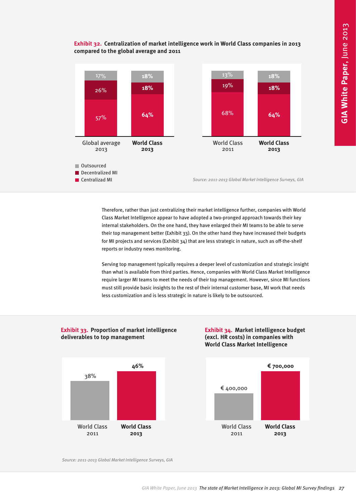#### **Exhibit 32. Centralization of market intelligence work in World Class companies in 2013 compared to the global average and 2011**



Therefore, rather than just centralizing their market intelligence further, companies with World Class Market Intelligence appear to have adopted a two-pronged approach towards their key internal stakeholders. On the one hand, they have enlarged their MI teams to be able to serve their top management better (Exhibit 33). On the other hand they have increased their budgets for MI projects and services (Exhibit 34) that are less strategic in nature, such as off-the-shelf reports or industry news monitoring.

Serving top management typically requires a deeper level of customization and strategic insight than what is available from third parties. Hence, companies with World Class Market Intelligence require larger MI teams to meet the needs of their top management. However, since MI functions must still provide basic insights to the rest of their internal customer base, MI work that needs less customization and is less strategic in nature is likely to be outsourced.



#### **Exhibit 33. Proportion of market intelligence deliverables to top management**

**Exhibit 34. Market intelligence budget (excl. HR costs) in companies with World Class Market Intelligence**



*Source: 2011-2013 Global Market Intelligence Surveys, GIA*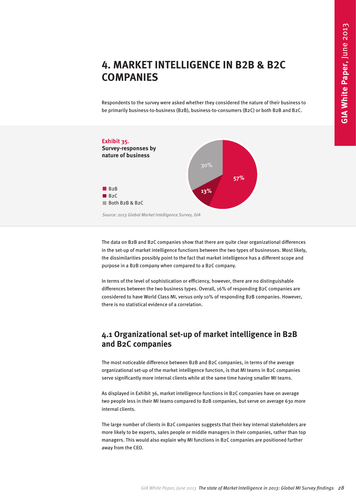# **4. MARKET INTELLIGENCE IN B2B & B2C COMPANIES**

Respondents to the survey were asked whether they considered the nature of their business to be primarily business-to-business (B2B), business-to-consumers (B2C) or both B2B and B2C.

<span id="page-27-0"></span>

The data on B2B and B2C companies show that there are quite clear organizational differences in the set-up of market intelligence functions between the two types of businesses. Most likely, the dissimilarities possibly point to the fact that market intelligence has a different scope and purpose in a B2B company when compared to a B2C company.

In terms of the level of sophistication or efficiency, however, there are no distinguishable differences between the two business types. Overall, 16% of responding B2C companies are considered to have World Class MI, versus only 10% of responding B2B companies. However, there is no statistical evidence of a correlation.

### **4.1 Organizational set-up of market intelligence in B2B and B2C companies**

The most noticeable difference between B2B and B2C companies, in terms of the average organizational set-up of the market intelligence function, is that MI teams in B2C companies serve significantly more internal clients while at the same time having smaller MI teams.

As displayed in Exhibit 36, market intelligence functions in B2C companies have on average two people less in their MI teams compared to B2B companies, but serve on average 630 more internal clients.

The large number of clients in B2C companies suggests that their key internal stakeholders are more likely to be experts, sales people or middle managers in their companies, rather than top managers. This would also explain why MI functions in B2C companies are positioned further away from the CEO.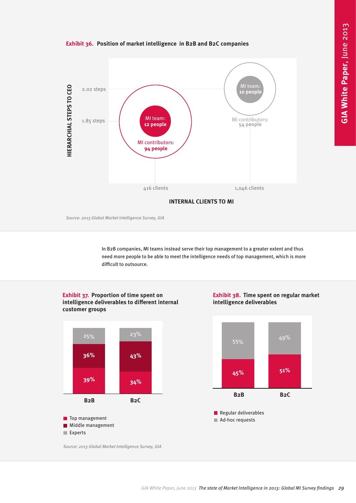

<span id="page-28-0"></span>

*Source: 2013 Global Market Intelligence Survey, GIA* 

In B2B companies, MI teams instead serve their top management to a greater extent and thus need more people to be able to meet the intelligence needs of top management, which is more difficult to outsource.

#### **Exhibit 37. Proportion of time spent on intelligence deliverables to different internal customer groups**



**Exhibit 38. Time spent on regular market intelligence deliverables**





*Source: 2013 Global Market Intelligence Survey, GIA*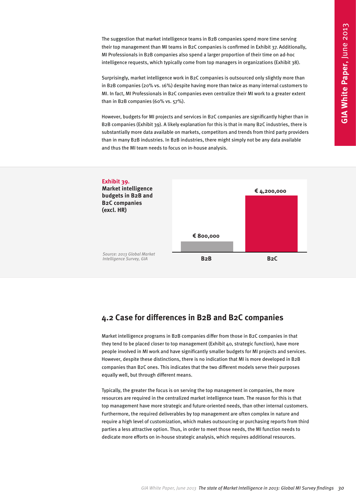The suggestion that market intelligence teams in B2B companies spend more time serving their top management than MI teams in B2C companies is confirmed in Exhibit 37. Additionally, MI Professionals in B2B companies also spend a larger proportion of their time on ad-hoc intelligence requests, which typically come from top managers in organizations (Exhibit 38).

Surprisingly, market intelligence work in B2C companies is outsourced only slightly more than in B2B companies (20% vs. 16%) despite having more than twice as many internal customers to MI. In fact, MI Professionals in B2C companies even centralize their MI work to a greater extent than in B2B companies (60% vs. 57%).

However, budgets for MI projects and services in B2C companies are significantly higher than in B2B companies (Exhibit 39). A likely explanation for this is that in many B2C industries, there is substantially more data available on markets, competitors and trends from third party providers than in many B2B industries. In B2B industries, there might simply not be any data available and thus the MI team needs to focus on in-house analysis.

<span id="page-29-0"></span>

### **4.2 Case for differences in B2B and B2C companies**

Market intelligence programs in B2B companies differ from those in B2C companies in that they tend to be placed closer to top management (Exhibit 40, strategic function), have more people involved in MI work and have significantly smaller budgets for MI projects and services. However, despite these distinctions, there is no indication that MI is more developed in B2B companies than B2C ones. This indicates that the two different models serve their purposes equally well, but through different means.

Typically, the greater the focus is on serving the top management in companies, the more resources are required in the centralized market intelligence team. The reason for this is that top management have more strategic and future-oriented needs, than other internal customers. Furthermore, the required deliverables by top management are often complex in nature and require a high level of customization, which makes outsourcing or purchasing reports from third parties a less attractive option. Thus, in order to meet those needs, the MI function needs to dedicate more efforts on in-house strategic analysis, which requires additional resources.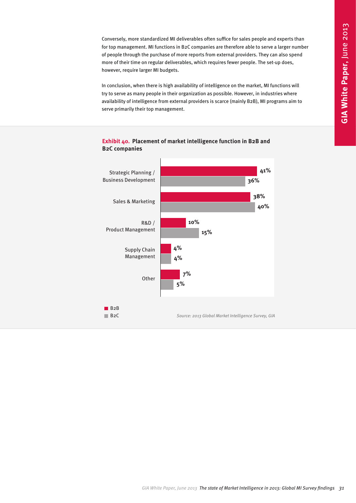Conversely, more standardized MI deliverables often suffice for sales people and experts than for top management. MI functions in B2C companies are therefore able to serve a larger number of people through the purchase of more reports from external providers. They can also spend more of their time on regular deliverables, which requires fewer people. The set-up does, however, require larger MI budgets.

In conclusion, when there is high availability of intelligence on the market, MI functions will try to serve as many people in their organization as possible. However, in industries where availability of intelligence from external providers is scarce (mainly B2B), MI programs aim to serve primarily their top management.